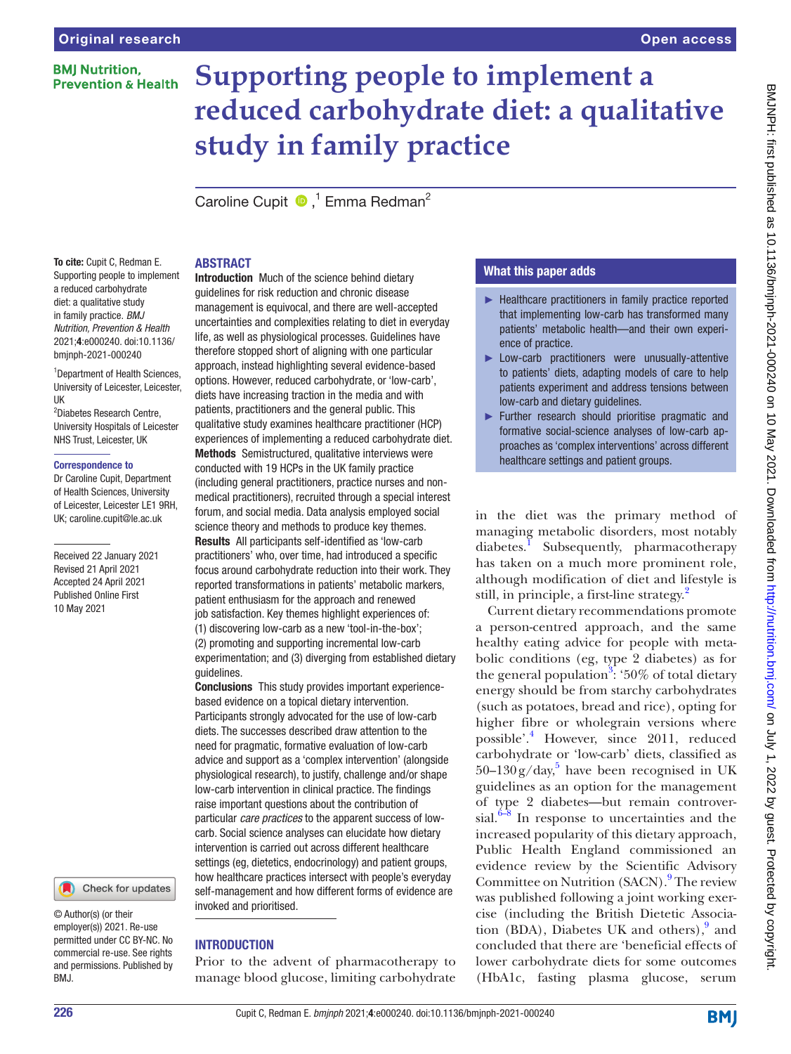# **BMI Nutrition. Prevention & Health**

# **Supporting people to implement a reduced carbohydrate diet: a qualitative study in family practice**

CarolineCupit <sup>1</sup> Emma Redman<sup>2</sup>

# ABSTRACT

To cite: Cupit C, Redman E. Supporting people to implement a reduced carbohydrate diet: a qualitative study in family practice. *BMJ Nutrition, Prevention & Health* 2021;4:e000240. doi:10.1136/ bmjnph-2021-000240

1 Department of Health Sciences, University of Leicester, Leicester, UK

2 Diabetes Research Centre, University Hospitals of Leicester NHS Trust, Leicester, UK

#### Correspondence to

Dr Caroline Cupit, Department of Health Sciences, University of Leicester, Leicester LE1 9RH, UK; caroline.cupit@le.ac.uk

Received 22 January 2021 Revised 21 April 2021 Accepted 24 April 2021 Published Online First 10 May 2021



© Author(s) (or their employer(s)) 2021. Re-use permitted under CC BY-NC. No commercial re-use. See rights and permissions. Published by BMJ.

Introduction Much of the science behind dietary guidelines for risk reduction and chronic disease management is equivocal, and there are well-accepted uncertainties and complexities relating to diet in everyday life, as well as physiological processes. Guidelines have therefore stopped short of aligning with one particular approach, instead highlighting several evidence-based options. However, reduced carbohydrate, or 'low-carb', diets have increasing traction in the media and with patients, practitioners and the general public. This qualitative study examines healthcare practitioner (HCP) experiences of implementing a reduced carbohydrate diet. Methods Semistructured, qualitative interviews were conducted with 19 HCPs in the UK family practice (including general practitioners, practice nurses and nonmedical practitioners), recruited through a special interest forum, and social media. Data analysis employed social science theory and methods to produce key themes.

Results All participants self-identified as 'low-carb practitioners' who, over time, had introduced a specific focus around carbohydrate reduction into their work. They reported transformations in patients' metabolic markers, patient enthusiasm for the approach and renewed job satisfaction. Key themes highlight experiences of: (1) discovering low-carb as a new 'tool-in-the-box';

(2) promoting and supporting incremental low-carb experimentation; and (3) diverging from established dietary guidelines.

Conclusions This study provides important experiencebased evidence on a topical dietary intervention. Participants strongly advocated for the use of low-carb diets. The successes described draw attention to the need for pragmatic, formative evaluation of low-carb advice and support as a 'complex intervention' (alongside physiological research), to justify, challenge and/or shape low-carb intervention in clinical practice. The findings raise important questions about the contribution of particular *care practices* to the apparent success of lowcarb. Social science analyses can elucidate how dietary intervention is carried out across different healthcare settings (eg, dietetics, endocrinology) and patient groups, how healthcare practices intersect with people's everyday self-management and how different forms of evidence are invoked and prioritised.

# **INTRODUCTION**

Prior to the advent of pharmacotherapy to manage blood glucose, limiting carbohydrate

# What this paper adds

- ► Healthcare practitioners in family practice reported that implementing low-carb has transformed many patients' metabolic health—and their own experience of practice.
- ► Low-carb practitioners were unusually-attentive to patients' diets, adapting models of care to help patients experiment and address tensions between low-carb and dietary guidelines.
- ► Further research should prioritise pragmatic and formative social-science analyses of low-carb approaches as 'complex interventions' across different healthcare settings and patient groups.

in the diet was the primary method of managing metabolic disorders, most notably diabetes.<sup>[1](#page-7-0)</sup> Subsequently, pharmacotherapy has taken on a much more prominent role, although modification of diet and lifestyle is still, in principle, a first-line strategy.<sup>[2](#page-7-1)</sup>

Current dietary recommendations promote a person-centred approach, and the same healthy eating advice for people with metabolic conditions (eg, type 2 diabetes) as for the general population<sup>3</sup>: '50% of total dietary energy should be from starchy carbohydrates (such as potatoes, bread and rice), opting for higher fibre or wholegrain versions where possible'.<sup>[4](#page-7-3)</sup> However, since 2011, reduced carbohydrate or 'low-carb' diets, classified as  $50-130$  $50-130$ g/day,<sup>5</sup> have been recognised in UK guidelines as an option for the management of type 2 diabetes—but remain controversial. $6-8$  In response to uncertainties and the increased popularity of this dietary approach, Public Health England commissioned an evidence review by the Scientific Advisory Committee on Nutrition (SACN).<sup>[9](#page-8-2)</sup> The review was published following a joint working exercise (including the British Dietetic Associa-tion (BDA), Diabetes UK and others),<sup>[9](#page-8-2)</sup> and concluded that there are 'beneficial effects of lower carbohydrate diets for some outcomes (HbA1c, fasting plasma glucose, serum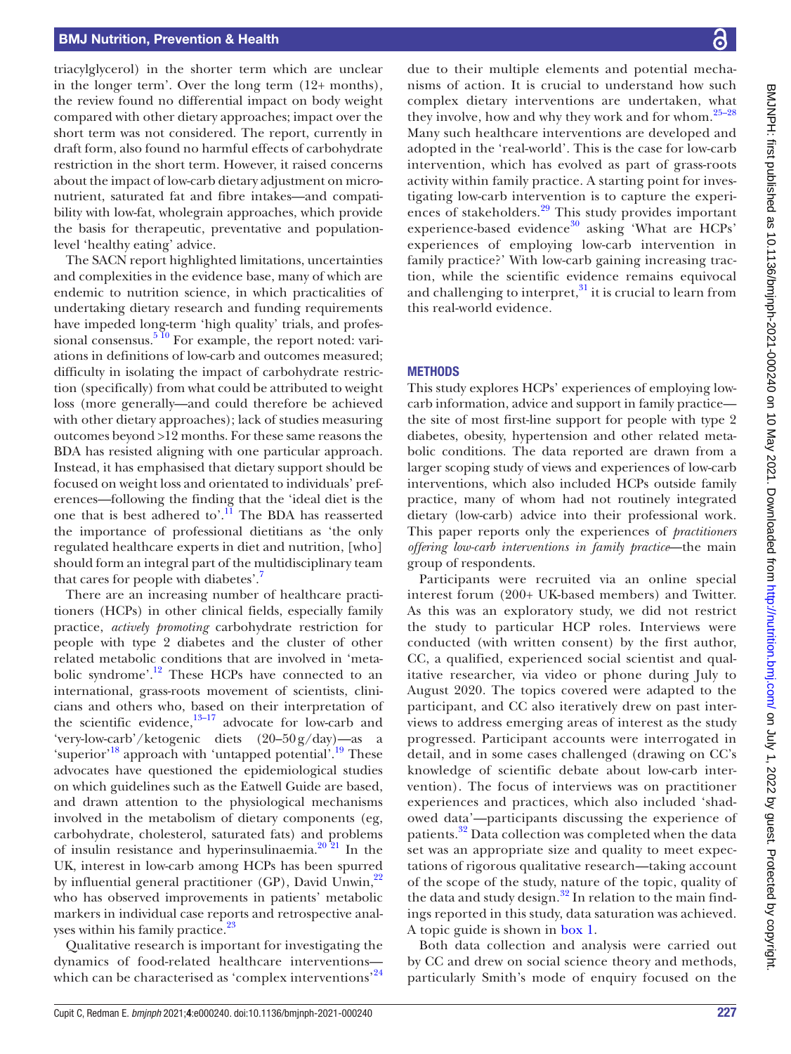#### BMJ Nutrition, Prevention & Health

triacylglycerol) in the shorter term which are unclear in the longer term'. Over the long term (12+ months), the review found no differential impact on body weight compared with other dietary approaches; impact over the short term was not considered. The report, currently in draft form, also found no harmful effects of carbohydrate restriction in the short term. However, it raised concerns about the impact of low-carb dietary adjustment on micronutrient, saturated fat and fibre intakes—and compatibility with low-fat, wholegrain approaches, which provide the basis for therapeutic, preventative and populationlevel 'healthy eating' advice.

The SACN report highlighted limitations, uncertainties and complexities in the evidence base, many of which are endemic to nutrition science, in which practicalities of undertaking dietary research and funding requirements have impeded long-term 'high quality' trials, and professional consensus.<sup>5 10</sup> For example, the report noted: variations in definitions of low-carb and outcomes measured; difficulty in isolating the impact of carbohydrate restriction (specifically) from what could be attributed to weight loss (more generally—and could therefore be achieved with other dietary approaches); lack of studies measuring outcomes beyond >12 months. For these same reasons the BDA has resisted aligning with one particular approach. Instead, it has emphasised that dietary support should be focused on weight loss and orientated to individuals' preferences—following the finding that the 'ideal diet is the one that is best adhered to'.<sup>11</sup> The BDA has reasserted the importance of professional dietitians as 'the only regulated healthcare experts in diet and nutrition, [who] should form an integral part of the multidisciplinary team that cares for people with diabetes'[.7](#page-8-4)

There are an increasing number of healthcare practitioners (HCPs) in other clinical fields, especially family practice, *actively promoting* carbohydrate restriction for people with type 2 diabetes and the cluster of other related metabolic conditions that are involved in 'metabolic syndrome'[.12](#page-8-5) These HCPs have connected to an international, grass-roots movement of scientists, clinicians and others who, based on their interpretation of the scientific evidence, $13-17$  advocate for low-carb and 'very-low-carb'/ketogenic diets (20–50g/day)—as a 'superior'<sup>18</sup> approach with 'untapped potential'.<sup>19</sup> These advocates have questioned the epidemiological studies on which guidelines such as the Eatwell Guide are based, and drawn attention to the physiological mechanisms involved in the metabolism of dietary components (eg, carbohydrate, cholesterol, saturated fats) and problems of insulin resistance and hyperinsulinaemia. $2^{0.21}$  In the UK, interest in low-carb among HCPs has been spurred by influential general practitioner (GP), David Unwin, $^{22}$ who has observed improvements in patients' metabolic markers in individual case reports and retrospective anal-yses within his family practice.<sup>[23](#page-8-11)</sup>

Qualitative research is important for investigating the dynamics of food-related healthcare interventions— which can be characterised as 'complex interventions'<sup>[24](#page-8-12)</sup>

due to their multiple elements and potential mechanisms of action. It is crucial to understand how such complex dietary interventions are undertaken, what they involve, how and why they work and for whom. $25-28$ Many such healthcare interventions are developed and adopted in the 'real-world'. This is the case for low-carb intervention, which has evolved as part of grass-roots activity within family practice. A starting point for investigating low-carb intervention is to capture the experi-ences of stakeholders.<sup>[29](#page-8-14)</sup> This study provides important experience-based evidence $30$  asking 'What are HCPs' experiences of employing low-carb intervention in family practice?' With low-carb gaining increasing traction, while the scientific evidence remains equivocal and challenging to interpret, $31$  it is crucial to learn from this real-world evidence.

#### **METHODS**

This study explores HCPs' experiences of employing lowcarb information, advice and support in family practice the site of most first-line support for people with type 2 diabetes, obesity, hypertension and other related metabolic conditions. The data reported are drawn from a larger scoping study of views and experiences of low-carb interventions, which also included HCPs outside family practice, many of whom had not routinely integrated dietary (low-carb) advice into their professional work. This paper reports only the experiences of *practitioners offering low-carb interventions in family practice*—the main group of respondents.

Participants were recruited via an online special interest forum (200+ UK-based members) and Twitter. As this was an exploratory study, we did not restrict the study to particular HCP roles. Interviews were conducted (with written consent) by the first author, CC, a qualified, experienced social scientist and qualitative researcher, via video or phone during July to August 2020. The topics covered were adapted to the participant, and CC also iteratively drew on past interviews to address emerging areas of interest as the study progressed. Participant accounts were interrogated in detail, and in some cases challenged (drawing on CC's knowledge of scientific debate about low-carb intervention). The focus of interviews was on practitioner experiences and practices, which also included 'shadowed data'—participants discussing the experience of patients.<sup>[32](#page-8-17)</sup> Data collection was completed when the data set was an appropriate size and quality to meet expectations of rigorous qualitative research—taking account of the scope of the study, nature of the topic, quality of the data and study design. $32$  In relation to the main findings reported in this study, data saturation was achieved. A topic guide is shown in [box](#page-2-0) 1.

Both data collection and analysis were carried out by CC and drew on social science theory and methods, particularly Smith's mode of enquiry focused on the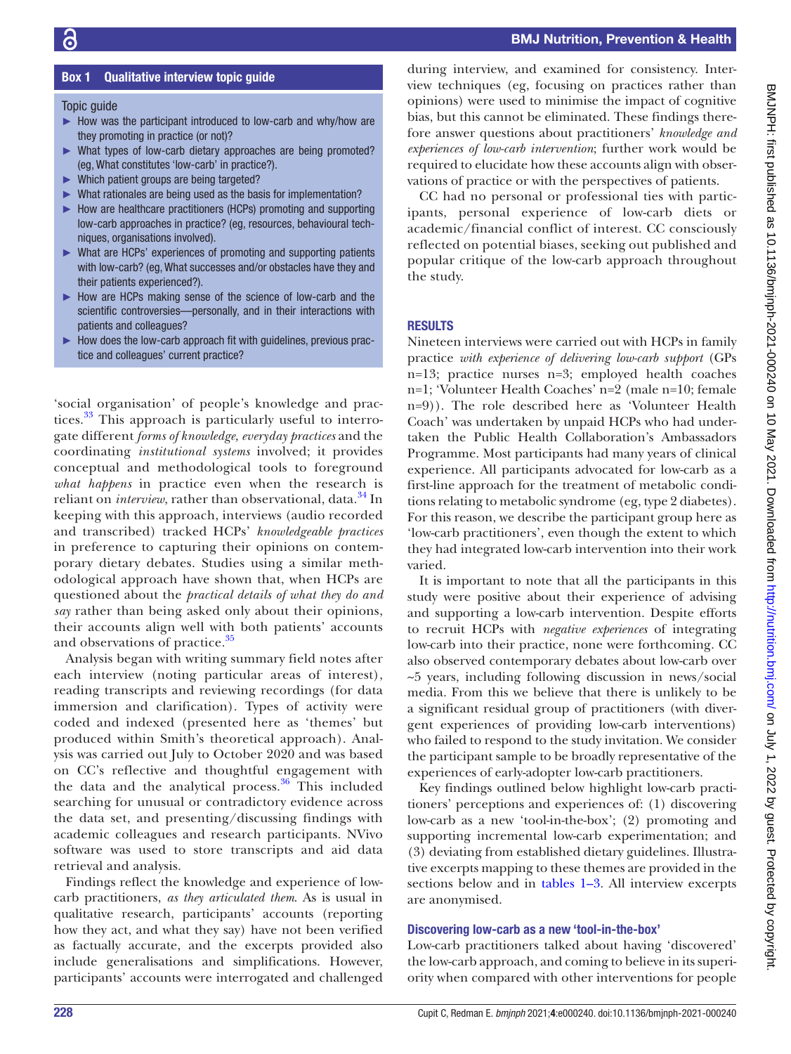# Box 1 Qualitative interview topic guide

<span id="page-2-0"></span>**Topic quide** 

- ► How was the participant introduced to low-carb and why/how are they promoting in practice (or not)?
- ► What types of low-carb dietary approaches are being promoted? (eg, What constitutes 'low-carb' in practice?).
- ► Which patient groups are being targeted?
- ► What rationales are being used as the basis for implementation?
- ► How are healthcare practitioners (HCPs) promoting and supporting low-carb approaches in practice? (eg, resources, behavioural techniques, organisations involved).
- ► What are HCPs' experiences of promoting and supporting patients with low-carb? (eg, What successes and/or obstacles have they and their patients experienced?).
- ► How are HCPs making sense of the science of low-carb and the scientific controversies—personally, and in their interactions with patients and colleagues?
- ► How does the low-carb approach fit with guidelines, previous practice and colleagues' current practice?

'social organisation' of people's knowledge and prac-tices.<sup>[33](#page-8-18)</sup> This approach is particularly useful to interrogate different *forms of knowledge, everyday practices* and the coordinating *institutional systems* involved; it provides conceptual and methodological tools to foreground *what happens* in practice even when the research is reliant on *interview*, rather than observational, data.<sup>[34](#page-8-19)</sup> In keeping with this approach, interviews (audio recorded and transcribed) tracked HCPs' *knowledgeable practices* in preference to capturing their opinions on contemporary dietary debates. Studies using a similar methodological approach have shown that, when HCPs are questioned about the *practical details of what they do and say* rather than being asked only about their opinions, their accounts align well with both patients' accounts and observations of practice.<sup>[35](#page-8-20)</sup>

Analysis began with writing summary field notes after each interview (noting particular areas of interest), reading transcripts and reviewing recordings (for data immersion and clarification). Types of activity were coded and indexed (presented here as 'themes' but produced within Smith's theoretical approach). Analysis was carried out July to October 2020 and was based on CC's reflective and thoughtful engagement with the data and the analytical process. $36$  This included searching for unusual or contradictory evidence across the data set, and presenting/discussing findings with academic colleagues and research participants. NVivo software was used to store transcripts and aid data retrieval and analysis.

Findings reflect the knowledge and experience of lowcarb practitioners, *as they articulated them*. As is usual in qualitative research, participants' accounts (reporting how they act, and what they say) have not been verified as factually accurate, and the excerpts provided also include generalisations and simplifications. However, participants' accounts were interrogated and challenged

during interview, and examined for consistency. Interview techniques (eg, focusing on practices rather than opinions) were used to minimise the impact of cognitive bias, but this cannot be eliminated. These findings therefore answer questions about practitioners' *knowledge and experiences of low-carb intervention*; further work would be required to elucidate how these accounts align with observations of practice or with the perspectives of patients.

CC had no personal or professional ties with participants, personal experience of low-carb diets or academic/financial conflict of interest. CC consciously reflected on potential biases, seeking out published and popular critique of the low-carb approach throughout the study.

#### RESULTS

Nineteen interviews were carried out with HCPs in family practice *with experience of delivering low-carb support* (GPs n=13; practice nurses n=3; employed health coaches n=1; 'Volunteer Health Coaches' n=2 (male n=10; female n=9)). The role described here as 'Volunteer Health Coach' was undertaken by unpaid HCPs who had undertaken the Public Health Collaboration's Ambassadors Programme. Most participants had many years of clinical experience. All participants advocated for low-carb as a first-line approach for the treatment of metabolic conditions relating to metabolic syndrome (eg, type 2 diabetes). For this reason, we describe the participant group here as 'low-carb practitioners', even though the extent to which they had integrated low-carb intervention into their work varied.

It is important to note that all the participants in this study were positive about their experience of advising and supporting a low-carb intervention. Despite efforts to recruit HCPs with *negative experiences* of integrating low-carb into their practice, none were forthcoming. CC also observed contemporary debates about low-carb over ~5 years, including following discussion in news/social media. From this we believe that there is unlikely to be a significant residual group of practitioners (with divergent experiences of providing low-carb interventions) who failed to respond to the study invitation. We consider the participant sample to be broadly representative of the experiences of early-adopter low-carb practitioners.

Key findings outlined below highlight low-carb practitioners' perceptions and experiences of: (1) discovering low-carb as a new 'tool-in-the-box'; (2) promoting and supporting incremental low-carb experimentation; and (3) deviating from established dietary guidelines. Illustrative excerpts mapping to these themes are provided in the sections below and in [tables](#page-3-0) 1–3. All interview excerpts are anonymised.

#### Discovering low-carb as a new 'tool-in-the-box'

Low-carb practitioners talked about having 'discovered' the low-carb approach, and coming to believe in its superiority when compared with other interventions for people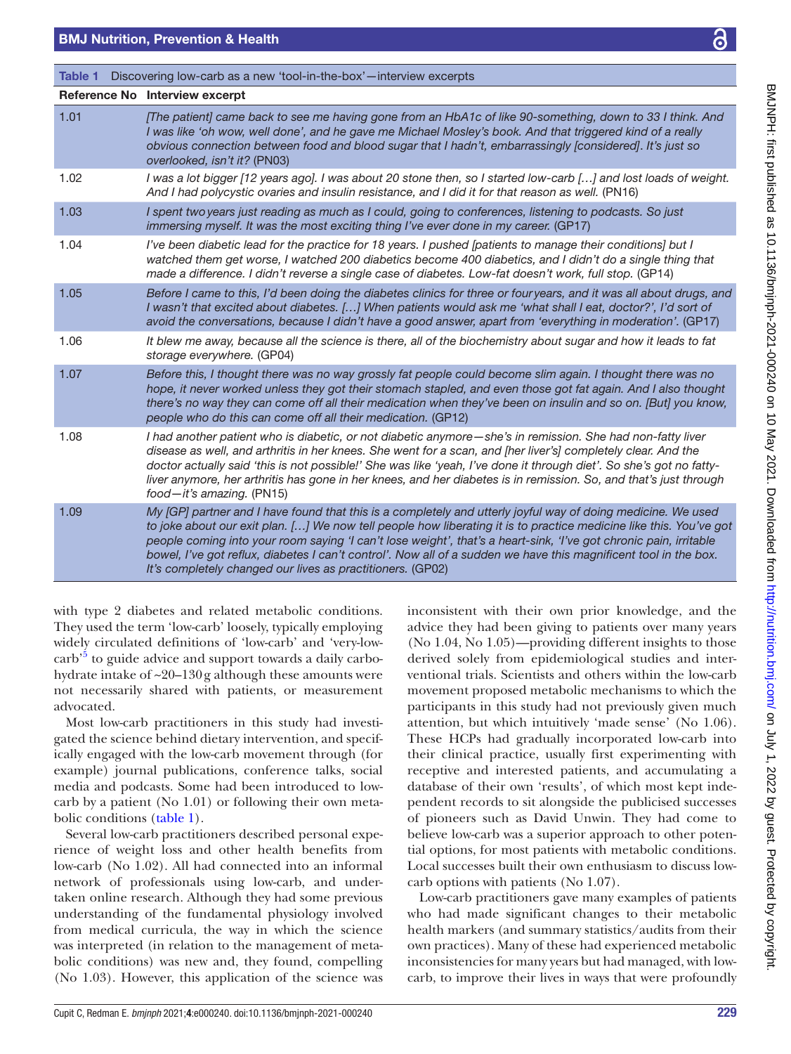# BMJ Nutrition, Prevention & Health

<span id="page-3-0"></span>

| Discovering low-carb as a new 'tool-in-the-box' — interview excerpts<br>Table 1 |                                                                                                                                                                                                                                                                                                                                                                                                                                                                                                                                           |  |
|---------------------------------------------------------------------------------|-------------------------------------------------------------------------------------------------------------------------------------------------------------------------------------------------------------------------------------------------------------------------------------------------------------------------------------------------------------------------------------------------------------------------------------------------------------------------------------------------------------------------------------------|--|
|                                                                                 | Reference No Interview excerpt                                                                                                                                                                                                                                                                                                                                                                                                                                                                                                            |  |
| 1.01                                                                            | [The patient] came back to see me having gone from an HbA1c of like 90-something, down to 33 I think. And<br>I was like 'oh wow, well done', and he gave me Michael Mosley's book. And that triggered kind of a really<br>obvious connection between food and blood sugar that I hadn't, embarrassingly [considered]. It's just so<br>overlooked, isn't it? (PN03)                                                                                                                                                                        |  |
| 1.02                                                                            | I was a lot bigger [12 years ago]. I was about 20 stone then, so I started low-carb [] and lost loads of weight.<br>And I had polycystic ovaries and insulin resistance, and I did it for that reason as well. (PN16)                                                                                                                                                                                                                                                                                                                     |  |
| 1.03                                                                            | I spent two years just reading as much as I could, going to conferences, listening to podcasts. So just<br>immersing myself. It was the most exciting thing I've ever done in my career. (GP17)                                                                                                                                                                                                                                                                                                                                           |  |
| 1.04                                                                            | I've been diabetic lead for the practice for 18 years. I pushed [patients to manage their conditions] but I<br>watched them get worse, I watched 200 diabetics become 400 diabetics, and I didn't do a single thing that<br>made a difference. I didn't reverse a single case of diabetes. Low-fat doesn't work, full stop. (GP14)                                                                                                                                                                                                        |  |
| 1.05                                                                            | Before I came to this, I'd been doing the diabetes clinics for three or fouryears, and it was all about drugs, and<br>I wasn't that excited about diabetes. [] When patients would ask me 'what shall I eat, doctor?', I'd sort of<br>avoid the conversations, because I didn't have a good answer, apart from 'everything in moderation'. (GP17)                                                                                                                                                                                         |  |
| 1.06                                                                            | It blew me away, because all the science is there, all of the biochemistry about sugar and how it leads to fat<br>storage everywhere. (GP04)                                                                                                                                                                                                                                                                                                                                                                                              |  |
| 1.07                                                                            | Before this, I thought there was no way grossly fat people could become slim again. I thought there was no<br>hope, it never worked unless they got their stomach stapled, and even those got fat again. And I also thought<br>there's no way they can come off all their medication when they've been on insulin and so on. [But] you know,<br>people who do this can come off all their medication. (GP12)                                                                                                                              |  |
| 1.08                                                                            | I had another patient who is diabetic, or not diabetic anymore—she's in remission. She had non-fatty liver<br>disease as well, and arthritis in her knees. She went for a scan, and [her liver's] completely clear. And the<br>doctor actually said 'this is not possible!' She was like 'yeah, I've done it through diet'. So she's got no fatty-<br>liver anymore, her arthritis has gone in her knees, and her diabetes is in remission. So, and that's just through<br>$food - it's amazing. (PN15)$                                  |  |
| 1.09                                                                            | My [GP] partner and I have found that this is a completely and utterly joyful way of doing medicine. We used<br>to joke about our exit plan. [] We now tell people how liberating it is to practice medicine like this. You've got<br>people coming into your room saying 'I can't lose weight', that's a heart-sink, 'I've got chronic pain, irritable<br>bowel, I've got reflux, diabetes I can't control'. Now all of a sudden we have this magnificent tool in the box.<br>It's completely changed our lives as practitioners. (GP02) |  |

with type 2 diabetes and related metabolic conditions. They used the term 'low-carb' loosely, typically employing widely circulated definitions of 'low-carb' and 'very-lowcarb<sup>,5</sup> to guide advice and support towards a daily carbohydrate intake of ~20–130g although these amounts were not necessarily shared with patients, or measurement advocated.

Most low-carb practitioners in this study had investigated the science behind dietary intervention, and specifically engaged with the low-carb movement through (for example) journal publications, conference talks, social media and podcasts. Some had been introduced to lowcarb by a patient (No 1.01) or following their own metabolic conditions [\(table](#page-3-0) 1).

Several low-carb practitioners described personal experience of weight loss and other health benefits from low-carb (No 1.02). All had connected into an informal network of professionals using low-carb, and undertaken online research. Although they had some previous understanding of the fundamental physiology involved from medical curricula, the way in which the science was interpreted (in relation to the management of metabolic conditions) was new and, they found, compelling (No 1.03). However, this application of the science was

inconsistent with their own prior knowledge, and the advice they had been giving to patients over many years (No 1.04, No 1.05)—providing different insights to those derived solely from epidemiological studies and interventional trials. Scientists and others within the low-carb movement proposed metabolic mechanisms to which the participants in this study had not previously given much attention, but which intuitively 'made sense' (No 1.06). These HCPs had gradually incorporated low-carb into their clinical practice, usually first experimenting with receptive and interested patients, and accumulating a database of their own 'results', of which most kept independent records to sit alongside the publicised successes of pioneers such as David Unwin. They had come to believe low-carb was a superior approach to other potential options, for most patients with metabolic conditions. Local successes built their own enthusiasm to discuss lowcarb options with patients (No 1.07).

Low-carb practitioners gave many examples of patients who had made significant changes to their metabolic health markers (and summary statistics/audits from their own practices). Many of these had experienced metabolic inconsistencies for many years but had managed, with lowcarb, to improve their lives in ways that were profoundly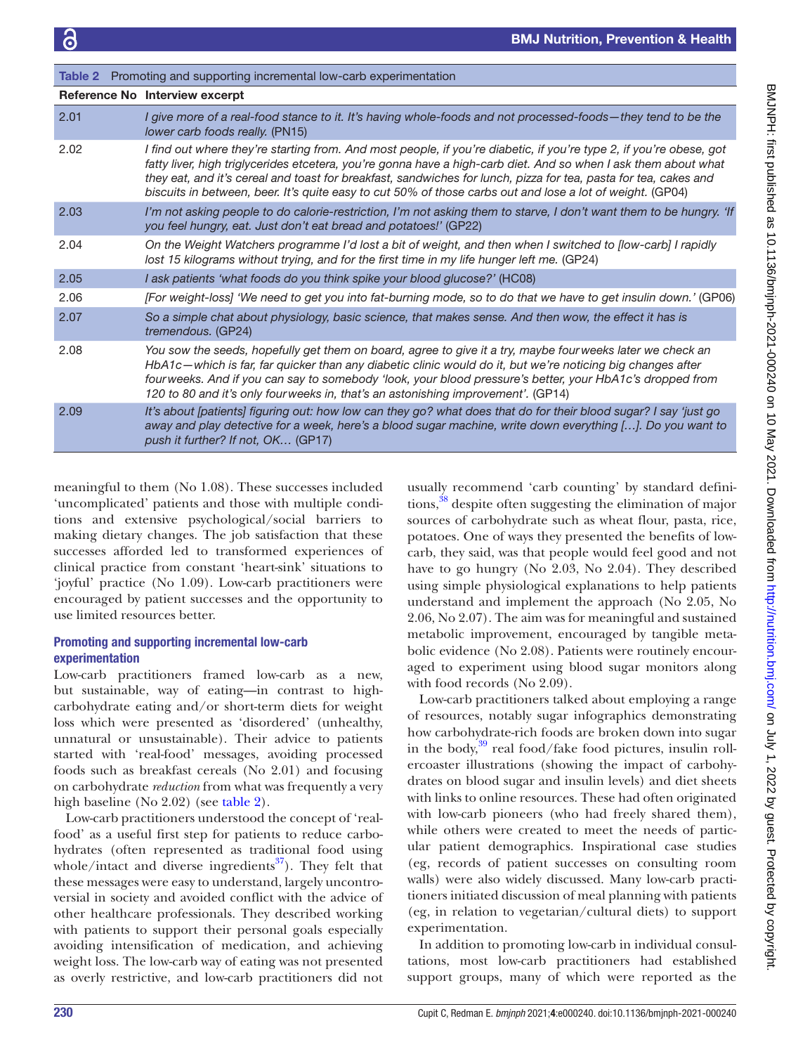<span id="page-4-0"></span>

| <b>Table 2</b> Promoting and supporting incremental low-carb experimentation |                                                                                                                                                                                                                                                                                                                                                                                                                                                                         |  |
|------------------------------------------------------------------------------|-------------------------------------------------------------------------------------------------------------------------------------------------------------------------------------------------------------------------------------------------------------------------------------------------------------------------------------------------------------------------------------------------------------------------------------------------------------------------|--|
|                                                                              | Reference No Interview excerpt                                                                                                                                                                                                                                                                                                                                                                                                                                          |  |
| 2.01                                                                         | I give more of a real-food stance to it. It's having whole-foods and not processed-foods—they tend to be the<br>lower carb foods really. (PN15)                                                                                                                                                                                                                                                                                                                         |  |
| 2.02                                                                         | I find out where they're starting from. And most people, if you're diabetic, if you're type 2, if you're obese, got<br>fatty liver, high triglycerides etcetera, you're gonna have a high-carb diet. And so when I ask them about what<br>they eat, and it's cereal and toast for breakfast, sandwiches for lunch, pizza for tea, pasta for tea, cakes and<br>biscuits in between, beer. It's quite easy to cut 50% of those carbs out and lose a lot of weight. (GP04) |  |
| 2.03                                                                         | I'm not asking people to do calorie-restriction, I'm not asking them to starve, I don't want them to be hungry. 'If<br>you feel hungry, eat. Just don't eat bread and potatoes!' (GP22)                                                                                                                                                                                                                                                                                 |  |
| 2.04                                                                         | On the Weight Watchers programme I'd lost a bit of weight, and then when I switched to [low-carb] I rapidly<br>lost 15 kilograms without trying, and for the first time in my life hunger left me. (GP24)                                                                                                                                                                                                                                                               |  |
| 2.05                                                                         | I ask patients 'what foods do you think spike your blood glucose?' (HC08)                                                                                                                                                                                                                                                                                                                                                                                               |  |
| 2.06                                                                         | [For weight-loss] 'We need to get you into fat-burning mode, so to do that we have to get insulin down.' (GP06)                                                                                                                                                                                                                                                                                                                                                         |  |
| 2.07                                                                         | So a simple chat about physiology, basic science, that makes sense. And then wow, the effect it has is<br>tremendous. (GP24)                                                                                                                                                                                                                                                                                                                                            |  |
| 2.08                                                                         | You sow the seeds, hopefully get them on board, agree to give it a try, maybe fourweeks later we check an<br>HbA1c—which is far, far quicker than any diabetic clinic would do it, but we're noticing big changes after<br>fourweeks. And if you can say to somebody 'look, your blood pressure's better, your HbA1c's dropped from<br>120 to 80 and it's only fourweeks in, that's an astonishing improvement'. (GP14)                                                 |  |
| 2.09                                                                         | It's about [patients] figuring out: how low can they go? what does that do for their blood sugar? I say 'just go<br>away and play detective for a week, here's a blood sugar machine, write down everything []. Do you want to<br>push it further? If not, OK (GP17)                                                                                                                                                                                                    |  |

meaningful to them (No 1.08). These successes included 'uncomplicated' patients and those with multiple conditions and extensive psychological/social barriers to making dietary changes. The job satisfaction that these successes afforded led to transformed experiences of clinical practice from constant 'heart-sink' situations to 'joyful' practice (No 1.09). Low-carb practitioners were encouraged by patient successes and the opportunity to use limited resources better.

# Promoting and supporting incremental low-carb experimentation

Low-carb practitioners framed low-carb as a new, but sustainable, way of eating—in contrast to highcarbohydrate eating and/or short-term diets for weight loss which were presented as 'disordered' (unhealthy, unnatural or unsustainable). Their advice to patients started with 'real-food' messages, avoiding processed foods such as breakfast cereals (No 2.01) and focusing on carbohydrate *reduction* from what was frequently a very high baseline (No 2.02) (see [table](#page-4-0) 2).

Low-carb practitioners understood the concept of 'realfood' as a useful first step for patients to reduce carbohydrates (often represented as traditional food using whole/intact and diverse ingredients $^{37}$ ). They felt that these messages were easy to understand, largely uncontroversial in society and avoided conflict with the advice of other healthcare professionals. They described working with patients to support their personal goals especially avoiding intensification of medication, and achieving weight loss. The low-carb way of eating was not presented as overly restrictive, and low-carb practitioners did not

usually recommend 'carb counting' by standard definitions,<sup>38</sup> despite often suggesting the elimination of major sources of carbohydrate such as wheat flour, pasta, rice, potatoes. One of ways they presented the benefits of lowcarb, they said, was that people would feel good and not have to go hungry (No 2.03, No 2.04). They described using simple physiological explanations to help patients understand and implement the approach (No 2.05, No 2.06, No 2.07). The aim was for meaningful and sustained metabolic improvement, encouraged by tangible metabolic evidence (No 2.08). Patients were routinely encouraged to experiment using blood sugar monitors along with food records (No 2.09).

Low-carb practitioners talked about employing a range of resources, notably sugar infographics demonstrating how carbohydrate-rich foods are broken down into sugar in the body, [39](#page-8-24) real food/fake food pictures, insulin rollercoaster illustrations (showing the impact of carbohydrates on blood sugar and insulin levels) and diet sheets with links to online resources. These had often originated with low-carb pioneers (who had freely shared them), while others were created to meet the needs of particular patient demographics. Inspirational case studies (eg, records of patient successes on consulting room walls) were also widely discussed. Many low-carb practitioners initiated discussion of meal planning with patients (eg, in relation to vegetarian/cultural diets) to support experimentation.

In addition to promoting low-carb in individual consultations, most low-carb practitioners had established support groups, many of which were reported as the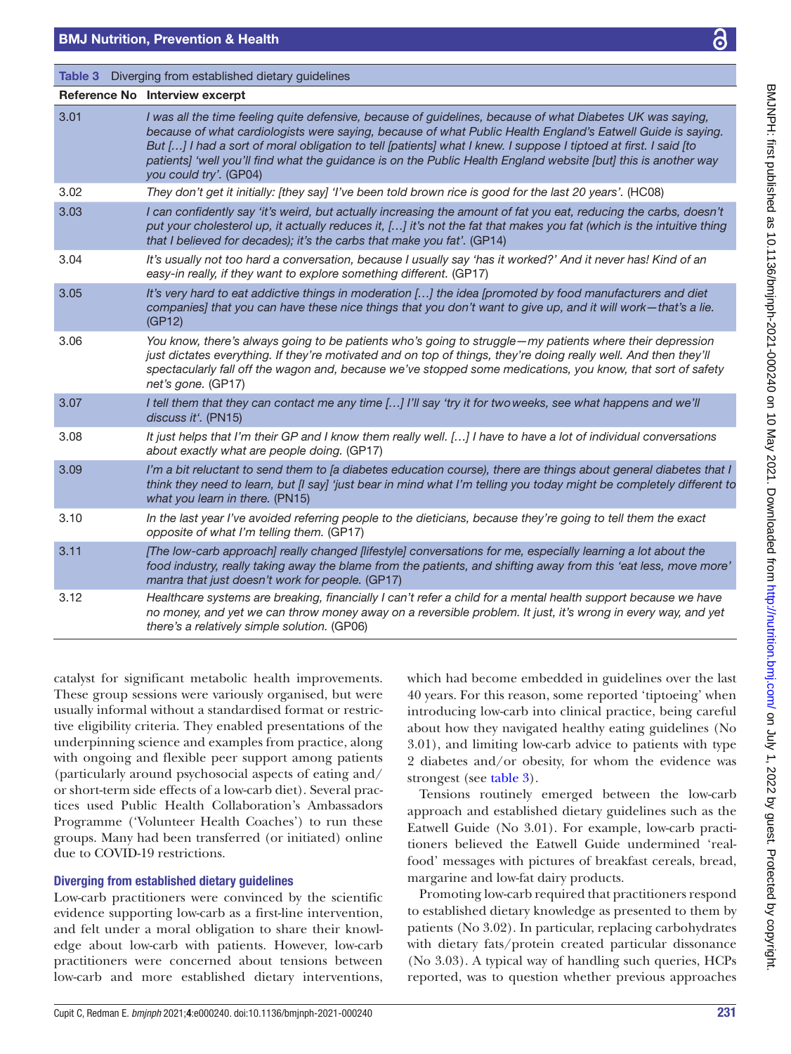<span id="page-5-0"></span>

| <b>Table 3</b> Diverging from established dietary guidelines |                                                                                                                                                                                                                                                                                                                                                                                                                                                                                            |  |
|--------------------------------------------------------------|--------------------------------------------------------------------------------------------------------------------------------------------------------------------------------------------------------------------------------------------------------------------------------------------------------------------------------------------------------------------------------------------------------------------------------------------------------------------------------------------|--|
|                                                              | Reference No Interview excerpt                                                                                                                                                                                                                                                                                                                                                                                                                                                             |  |
| 3.01                                                         | I was all the time feeling quite defensive, because of guidelines, because of what Diabetes UK was saying,<br>because of what cardiologists were saying, because of what Public Health England's Eatwell Guide is saying.<br>But [] I had a sort of moral obligation to tell [patients] what I knew. I suppose I tiptoed at first. I said [to<br>patients] 'well you'll find what the guidance is on the Public Health England website [but] this is another way<br>you could try'. (GP04) |  |
| 3.02                                                         | They don't get it initially: [they say] 'I've been told brown rice is good for the last 20 years'. (HC08)                                                                                                                                                                                                                                                                                                                                                                                  |  |
| 3.03                                                         | I can confidently say 'it's weird, but actually increasing the amount of fat you eat, reducing the carbs, doesn't<br>put your cholesterol up, it actually reduces it, [] it's not the fat that makes you fat (which is the intuitive thing<br>that I believed for decades); it's the carbs that make you fat'. (GP14)                                                                                                                                                                      |  |
| 3.04                                                         | It's usually not too hard a conversation, because I usually say 'has it worked?' And it never has! Kind of an<br>easy-in really, if they want to explore something different. (GP17)                                                                                                                                                                                                                                                                                                       |  |
| 3.05                                                         | It's very hard to eat addictive things in moderation [] the idea [promoted by food manufacturers and diet<br>companies] that you can have these nice things that you don't want to give up, and it will work-that's a lie.<br>(GP12)                                                                                                                                                                                                                                                       |  |
| 3.06                                                         | You know, there's always going to be patients who's going to struggle-my patients where their depression<br>just dictates everything. If they're motivated and on top of things, they're doing really well. And then they'll<br>spectacularly fall off the wagon and, because we've stopped some medications, you know, that sort of safety<br>net's gone. (GP17)                                                                                                                          |  |
| 3.07                                                         | I tell them that they can contact me any time [] I'll say 'try it for two weeks, see what happens and we'll<br>discuss it'. (PN15)                                                                                                                                                                                                                                                                                                                                                         |  |
| 3.08                                                         | It just helps that I'm their GP and I know them really well. [] I have to have a lot of individual conversations<br>about exactly what are people doing. (GP17)                                                                                                                                                                                                                                                                                                                            |  |
| 3.09                                                         | I'm a bit reluctant to send them to [a diabetes education course), there are things about general diabetes that I<br>think they need to learn, but [I say] 'just bear in mind what I'm telling you today might be completely different to<br>what you learn in there. (PN15)                                                                                                                                                                                                               |  |
| 3.10                                                         | In the last year I've avoided referring people to the dieticians, because they're going to tell them the exact<br>opposite of what I'm telling them. (GP17)                                                                                                                                                                                                                                                                                                                                |  |
| 3.11                                                         | [The low-carb approach] really changed [lifestyle] conversations for me, especially learning a lot about the<br>food industry, really taking away the blame from the patients, and shifting away from this 'eat less, move more'<br>mantra that just doesn't work for people. (GP17)                                                                                                                                                                                                       |  |
| 3.12                                                         | Healthcare systems are breaking, financially I can't refer a child for a mental health support because we have<br>no money, and yet we can throw money away on a reversible problem. It just, it's wrong in every way, and yet<br>there's a relatively simple solution. (GP06)                                                                                                                                                                                                             |  |

catalyst for significant metabolic health improvements. These group sessions were variously organised, but were usually informal without a standardised format or restrictive eligibility criteria. They enabled presentations of the underpinning science and examples from practice, along with ongoing and flexible peer support among patients (particularly around psychosocial aspects of eating and/ or short-term side effects of a low-carb diet). Several practices used Public Health Collaboration's Ambassadors Programme ('Volunteer Health Coaches') to run these groups. Many had been transferred (or initiated) online due to COVID-19 restrictions.

## Diverging from established dietary guidelines

Low-carb practitioners were convinced by the scientific evidence supporting low-carb as a first-line intervention, and felt under a moral obligation to share their knowledge about low-carb with patients. However, low-carb practitioners were concerned about tensions between low-carb and more established dietary interventions,

which had become embedded in guidelines over the last 40 years. For this reason, some reported 'tiptoeing' when introducing low-carb into clinical practice, being careful about how they navigated healthy eating guidelines (No 3.01), and limiting low-carb advice to patients with type 2 diabetes and/or obesity, for whom the evidence was strongest (see [table](#page-5-0) 3).

Tensions routinely emerged between the low-carb approach and established dietary guidelines such as the Eatwell Guide (No 3.01). For example, low-carb practitioners believed the Eatwell Guide undermined 'realfood' messages with pictures of breakfast cereals, bread, margarine and low-fat dairy products.

Promoting low-carb required that practitioners respond to established dietary knowledge as presented to them by patients (No 3.02). In particular, replacing carbohydrates with dietary fats/protein created particular dissonance (No 3.03). A typical way of handling such queries, HCPs reported, was to question whether previous approaches BMJNPH: first published as 10.1136/bmjnph-2021-000240 on 10 May 2021. Downloaded from http://nutrition.bm/ on July 1, 2022 by guest. Protected by copyright on July 1, 2022 by guest. Protected by copyright. <http://nutrition.bmj.com/> BMJNPH: first published as 10.1136/bmjnph-2021-000240 on 10 May 2021. Downloaded from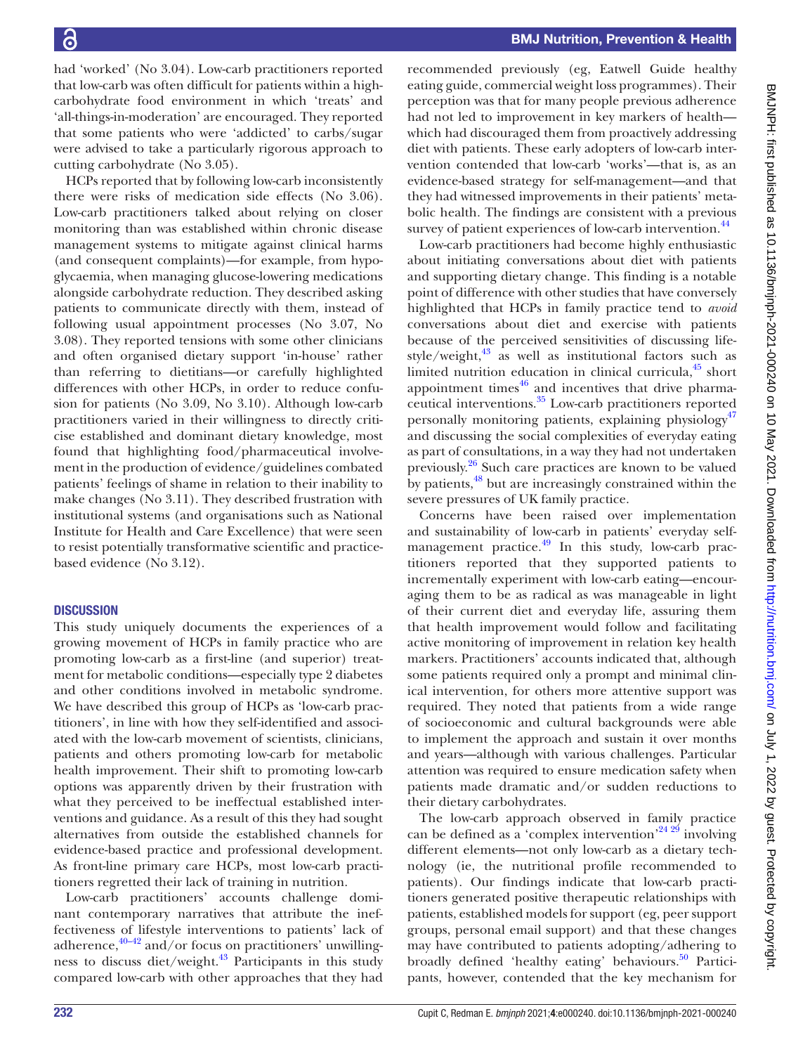had 'worked' (No 3.04). Low-carb practitioners reported that low-carb was often difficult for patients within a highcarbohydrate food environment in which 'treats' and 'all-things-in-moderation' are encouraged. They reported that some patients who were 'addicted' to carbs/sugar were advised to take a particularly rigorous approach to cutting carbohydrate (No 3.05).

HCPs reported that by following low-carb inconsistently there were risks of medication side effects (No 3.06). Low-carb practitioners talked about relying on closer monitoring than was established within chronic disease management systems to mitigate against clinical harms (and consequent complaints)—for example, from hypoglycaemia, when managing glucose-lowering medications alongside carbohydrate reduction. They described asking patients to communicate directly with them, instead of following usual appointment processes (No 3.07, No 3.08). They reported tensions with some other clinicians and often organised dietary support 'in-house' rather than referring to dietitians—or carefully highlighted differences with other HCPs, in order to reduce confusion for patients (No 3.09, No 3.10). Although low-carb practitioners varied in their willingness to directly criticise established and dominant dietary knowledge, most found that highlighting food/pharmaceutical involvement in the production of evidence/guidelines combated patients' feelings of shame in relation to their inability to make changes (No 3.11). They described frustration with institutional systems (and organisations such as National Institute for Health and Care Excellence) that were seen to resist potentially transformative scientific and practicebased evidence (No 3.12).

## **DISCUSSION**

This study uniquely documents the experiences of a growing movement of HCPs in family practice who are promoting low-carb as a first-line (and superior) treatment for metabolic conditions—especially type 2 diabetes and other conditions involved in metabolic syndrome. We have described this group of HCPs as 'low-carb practitioners', in line with how they self-identified and associated with the low-carb movement of scientists, clinicians, patients and others promoting low-carb for metabolic health improvement. Their shift to promoting low-carb options was apparently driven by their frustration with what they perceived to be ineffectual established interventions and guidance. As a result of this they had sought alternatives from outside the established channels for evidence-based practice and professional development. As front-line primary care HCPs, most low-carb practitioners regretted their lack of training in nutrition.

Low-carb practitioners' accounts challenge dominant contemporary narratives that attribute the ineffectiveness of lifestyle interventions to patients' lack of adherence, $40-42$  and/or focus on practitioners' unwillingness to discuss diet/weight.<sup>43</sup> Participants in this study compared low-carb with other approaches that they had

recommended previously (eg, Eatwell Guide healthy eating guide, commercial weight loss programmes). Their perception was that for many people previous adherence had not led to improvement in key markers of health which had discouraged them from proactively addressing diet with patients. These early adopters of low-carb intervention contended that low-carb 'works'—that is, as an evidence-based strategy for self-management—and that they had witnessed improvements in their patients' metabolic health. The findings are consistent with a previous survey of patient experiences of low-carb intervention.<sup>[44](#page-8-27)</sup>

Low-carb practitioners had become highly enthusiastic about initiating conversations about diet with patients and supporting dietary change. This finding is a notable point of difference with other studies that have conversely highlighted that HCPs in family practice tend to *avoid* conversations about diet and exercise with patients because of the perceived sensitivities of discussing lifestyle/weight, $43$  as well as institutional factors such as limited nutrition education in clinical curricula, $45$  short appointment times $46$  and incentives that drive pharmaceutical interventions[.35](#page-8-20) Low-carb practitioners reported personally monitoring patients, explaining physiology<sup>[47](#page-8-30)</sup> and discussing the social complexities of everyday eating as part of consultations, in a way they had not undertaken previously.[26](#page-8-31) Such care practices are known to be valued by patients,<sup>48</sup> but are increasingly constrained within the severe pressures of UK family practice.

Concerns have been raised over implementation and sustainability of low-carb in patients' everyday selfmanagement practice.<sup>49</sup> In this study, low-carb practitioners reported that they supported patients to incrementally experiment with low-carb eating—encouraging them to be as radical as was manageable in light of their current diet and everyday life, assuring them that health improvement would follow and facilitating active monitoring of improvement in relation key health markers. Practitioners' accounts indicated that, although some patients required only a prompt and minimal clinical intervention, for others more attentive support was required. They noted that patients from a wide range of socioeconomic and cultural backgrounds were able to implement the approach and sustain it over months and years—although with various challenges. Particular attention was required to ensure medication safety when patients made dramatic and/or sudden reductions to their dietary carbohydrates.

The low-carb approach observed in family practice can be defined as a 'complex intervention'<sup>24 29</sup> involving different elements—not only low-carb as a dietary technology (ie, the nutritional profile recommended to patients). Our findings indicate that low-carb practitioners generated positive therapeutic relationships with patients, established models for support (eg, peer support groups, personal email support) and that these changes may have contributed to patients adopting/adhering to broadly defined 'healthy eating' behaviours.<sup>50</sup> Participants, however, contended that the key mechanism for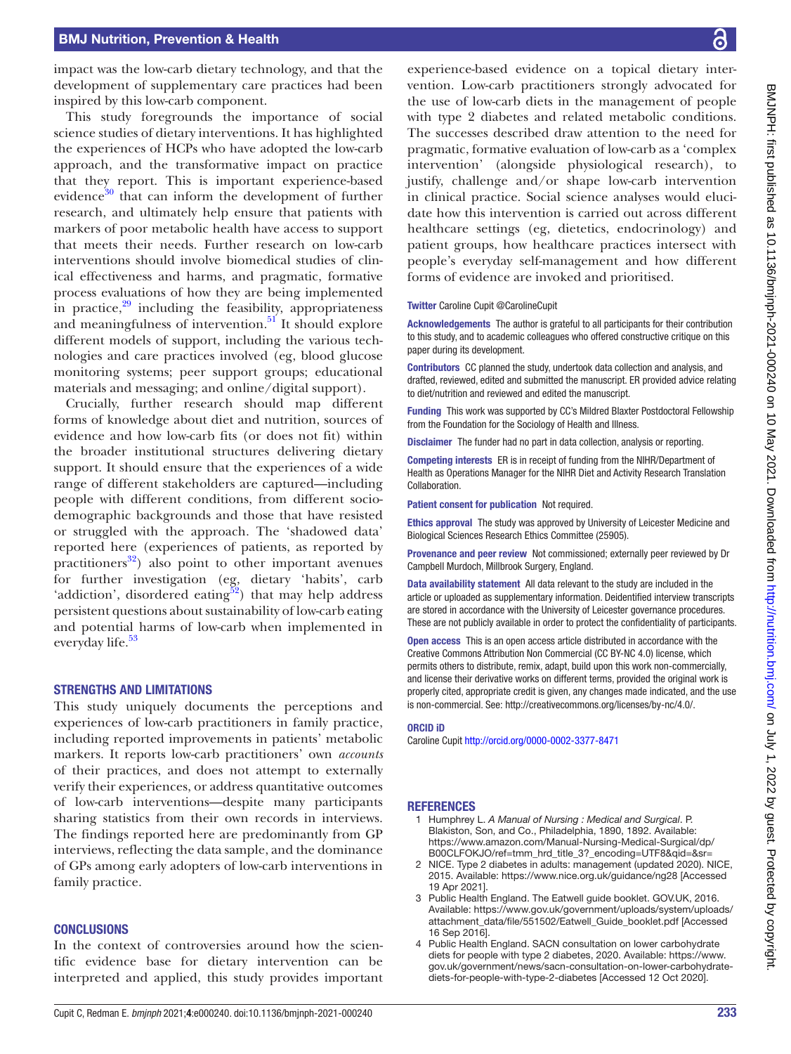impact was the low-carb dietary technology, and that the development of supplementary care practices had been inspired by this low-carb component.

This study foregrounds the importance of social science studies of dietary interventions. It has highlighted the experiences of HCPs who have adopted the low-carb approach, and the transformative impact on practice that they report. This is important experience-based evidence $30$  that can inform the development of further research, and ultimately help ensure that patients with markers of poor metabolic health have access to support that meets their needs. Further research on low-carb interventions should involve biomedical studies of clinical effectiveness and harms, and pragmatic, formative process evaluations of how they are being implemented in practice, $29$  including the feasibility, appropriateness and meaningfulness of intervention. $51$  It should explore different models of support, including the various technologies and care practices involved (eg, blood glucose monitoring systems; peer support groups; educational materials and messaging; and online/digital support).

Crucially, further research should map different forms of knowledge about diet and nutrition, sources of evidence and how low-carb fits (or does not fit) within the broader institutional structures delivering dietary support. It should ensure that the experiences of a wide range of different stakeholders are captured—including people with different conditions, from different sociodemographic backgrounds and those that have resisted or struggled with the approach. The 'shadowed data' reported here (experiences of patients, as reported by practitioners<sup>32</sup>) also point to other important avenues for further investigation (eg, dietary 'habits', carb 'addiction', disordered eating $52$ ) that may help address persistent questions about sustainability of low-carb eating and potential harms of low-carb when implemented in everyday life.<sup>[53](#page-8-37)</sup>

#### STRENGTHS AND LIMITATIONS

This study uniquely documents the perceptions and experiences of low-carb practitioners in family practice, including reported improvements in patients' metabolic markers. It reports low-carb practitioners' own *accounts* of their practices, and does not attempt to externally verify their experiences, or address quantitative outcomes of low-carb interventions—despite many participants sharing statistics from their own records in interviews. The findings reported here are predominantly from GP interviews, reflecting the data sample, and the dominance of GPs among early adopters of low-carb interventions in family practice.

#### **CONCLUSIONS**

In the context of controversies around how the scientific evidence base for dietary intervention can be interpreted and applied, this study provides important

experience-based evidence on a topical dietary intervention. Low-carb practitioners strongly advocated for the use of low-carb diets in the management of people with type 2 diabetes and related metabolic conditions. The successes described draw attention to the need for pragmatic, formative evaluation of low-carb as a 'complex intervention' (alongside physiological research), to justify, challenge and/or shape low-carb intervention in clinical practice. Social science analyses would elucidate how this intervention is carried out across different healthcare settings (eg, dietetics, endocrinology) and patient groups, how healthcare practices intersect with people's everyday self-management and how different forms of evidence are invoked and prioritised.

#### Twitter Caroline Cupit [@CarolineCupit](https://twitter.com/CarolineCupit)

Acknowledgements The author is grateful to all participants for their contribution to this study, and to academic colleagues who offered constructive critique on this paper during its development.

Contributors CC planned the study, undertook data collection and analysis, and drafted, reviewed, edited and submitted the manuscript. ER provided advice relating to diet/nutrition and reviewed and edited the manuscript.

Funding This work was supported by CC's Mildred Blaxter Postdoctoral Fellowship from the Foundation for the Sociology of Health and Illness.

**Disclaimer** The funder had no part in data collection, analysis or reporting.

Competing interests ER is in receipt of funding from the NIHR/Department of Health as Operations Manager for the NIHR Diet and Activity Research Translation Collaboration.

Patient consent for publication Not required.

Ethics approval The study was approved by University of Leicester Medicine and Biological Sciences Research Ethics Committee (25905).

Provenance and peer review Not commissioned; externally peer reviewed by Dr Campbell Murdoch, Millbrook Surgery, England.

Data availability statement All data relevant to the study are included in the article or uploaded as supplementary information. Deidentified interview transcripts are stored in accordance with the University of Leicester governance procedures. These are not publicly available in order to protect the confidentiality of participants.

Open access This is an open access article distributed in accordance with the Creative Commons Attribution Non Commercial (CC BY-NC 4.0) license, which permits others to distribute, remix, adapt, build upon this work non-commercially, and license their derivative works on different terms, provided the original work is properly cited, appropriate credit is given, any changes made indicated, and the use is non-commercial. See: [http://creativecommons.org/licenses/by-nc/4.0/.](http://creativecommons.org/licenses/by-nc/4.0/)

#### ORCID iD

Caroline Cupit<http://orcid.org/0000-0002-3377-8471>

#### **REFERENCES**

- <span id="page-7-0"></span>1 Humphrey L. *A Manual of Nursing : Medical and Surgical*. P. Blakiston, Son, and Co., Philadelphia, 1890, 1892. Available: [https://www.amazon.com/Manual-Nursing-Medical-Surgical/dp/](https://www.amazon.com/Manual-Nursing-Medical-Surgical/dp/B00CLFOKJO/ref=tmm_hrd_title_3?_encoding=UTF8&qid=&sr=) [B00CLFOKJO/ref=tmm\\_hrd\\_title\\_3?\\_encoding=UTF8&qid=&sr=](https://www.amazon.com/Manual-Nursing-Medical-Surgical/dp/B00CLFOKJO/ref=tmm_hrd_title_3?_encoding=UTF8&qid=&sr=)
- <span id="page-7-1"></span>2 NICE. Type 2 diabetes in adults: management (updated 2020). NICE, 2015. Available: <https://www.nice.org.uk/guidance/ng28> [Accessed 19 Apr 2021].
- <span id="page-7-2"></span>Public Health England. The Eatwell guide booklet. GOV.UK, 2016. Available: [https://www.gov.uk/government/uploads/system/uploads/](https://www.gov.uk/government/uploads/system/uploads/attachment_data/file/551502/Eatwell_Guide_booklet.pdf) [attachment\\_data/file/551502/Eatwell\\_Guide\\_booklet.pdf](https://www.gov.uk/government/uploads/system/uploads/attachment_data/file/551502/Eatwell_Guide_booklet.pdf) [Accessed 16 Sep 2016].
- <span id="page-7-3"></span>4 Public Health England. SACN consultation on lower carbohydrate diets for people with type 2 diabetes, 2020. Available: [https://www.](https://www.gov.uk/government/news/sacn-consultation-on-lower-carbohydrate-diets-for-people-with-type-2-diabetes) [gov.uk/government/news/sacn-consultation-on-lower-carbohydrate](https://www.gov.uk/government/news/sacn-consultation-on-lower-carbohydrate-diets-for-people-with-type-2-diabetes)[diets-for-people-with-type-2-diabetes](https://www.gov.uk/government/news/sacn-consultation-on-lower-carbohydrate-diets-for-people-with-type-2-diabetes) [Accessed 12 Oct 2020].